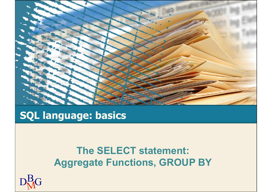

## SQL language: basics

#### The SELECT statement: Aggregate Functions, GROUP BY

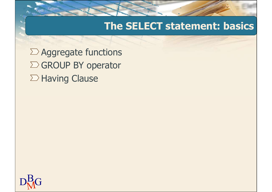#### The SELECT statement: basics

 $\Sigma$  Aggregate functions  $\Sigma$  GROUP BY operator The SELECT sta<br>Aggregate functions<br>GROUP BY operator<br>Having Clause

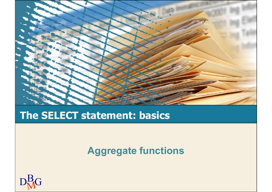

#### The SELECT statement: basics

Aggregate functions

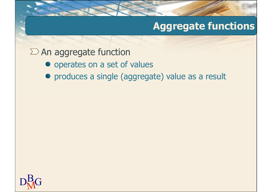#### $\sum$  An aggregate function

- operates on a set of values
- produces a single (aggregate) value as a result

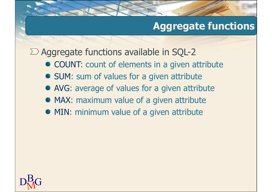$\sum$  Aggregate functions available in SQL-2

- COUNT: count of elements in a given attribute
- SUM: sum of values for a given attribute
- AVG: average of values for a given attribute
- MAX: maximum value of a given attribute
- MIN: minimum value of a given attribute

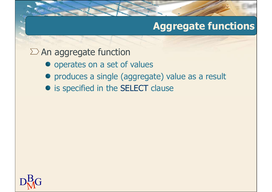$\Sigma$  An aggregate function

- operates on a set of values
- produces a single (aggregate) value as a result
- **•** is specified in the SELECT clause

 $D<sub>M</sub>$ G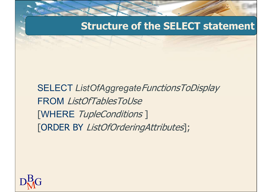#### Structure of the SELECT statement

SELECT ListOfAggregateFunctionsToDisplay FROM ListOfTablesToUse [WHERE TupleConditions ] [ORDER BY ListOfOrderingAttributes];

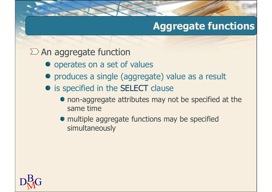#### $\Sigma$  An aggregate function

- operates on a set of values
- produces a single (aggregate) value as a result
- is specified in the SELECT clause
	- non-aggregate attributes may not be specified at the same time
	- multiple aggregate functions may be specified simultaneously

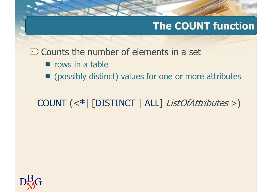#### The COUNT function

 $\Sigma$  Counts the number of elements in a set

- $\bullet$  rows in a table
- (possibly distinct) values for one or more attributes

COUNT (<\*| [DISTINCT | ALL] ListOfAttributes >)

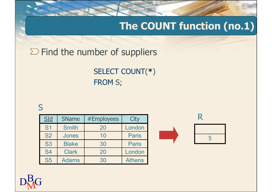### The COUNT function (no.1)

#### $\Sigma$  Find the number of suppliers

#### S<sub>core</sub> Second Second Second Second Second Second Second Second Second Second Second Second Second Second Second Second Second Second Second Second Second Second Second Second Second Second Second Second Second Second Seco

|                                               | Find the number of suppliers |            |               |  |   |  |  |  |  |  |  |  |
|-----------------------------------------------|------------------------------|------------|---------------|--|---|--|--|--|--|--|--|--|
| <b>SELECT COUNT(*)</b><br><b>FROM S;</b><br>S |                              |            |               |  |   |  |  |  |  |  |  |  |
| SLd                                           | <b>SName</b>                 | #Employees | City          |  | R |  |  |  |  |  |  |  |
| S <sub>1</sub>                                | <b>Smith</b>                 | 20         | London        |  |   |  |  |  |  |  |  |  |
| <b>S2</b>                                     | Jones                        | 10         | <b>Paris</b>  |  | 5 |  |  |  |  |  |  |  |
| <b>S3</b>                                     | <b>Blake</b>                 | 30         | <b>Paris</b>  |  |   |  |  |  |  |  |  |  |
| <b>S4</b>                                     | <b>Clark</b>                 | 20         | London        |  |   |  |  |  |  |  |  |  |
| <b>S5</b>                                     | <b>Adams</b>                 | 30         | <b>Athens</b> |  |   |  |  |  |  |  |  |  |
| $\blacktriangledown$                          |                              |            |               |  |   |  |  |  |  |  |  |  |





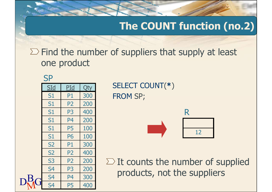The COUNT function (no.2)

 $\Sigma$  Find the number of suppliers that supply at least one product The COUNT fu<br>
nd the number of suppliers that sup<br>
ne product<br>
P<br>
Sid Pid Qty<br>
S1 P1 300<br>
FROM SP;<br>
S1 P2 200<br>
S1 P3 400 The COUNT fu<br>
nd the number of suppliers that sup<br>
ne product<br>
P<br>
Sid Pid Qty<br>
S1 P1 300<br>
FROM SP;<br>
S1 P2 200<br>
S1 P3 400<br>
S1 P4 200 md the number of suppliers that sup<br>
ne product<br>
P<br>
Sid Pid Qty<br>
S1 P1 300<br>
S1 P2 200<br>
S1 P3 400<br>
S1 P4 200<br>
S1 P5 100

|       | one product    |                |     | $\Sigma$ Find the number of suppliers that sup |
|-------|----------------|----------------|-----|------------------------------------------------|
|       | <b>SP</b>      |                |     |                                                |
|       | <u>SId</u>     | <u>PId</u>     | Qty | <b>SELECT COUNT(*)</b>                         |
|       | S1             | P1             | 300 | <b>FROM SP;</b>                                |
|       | S1             | P <sub>2</sub> | 200 |                                                |
|       | S1             | P <sub>3</sub> | 400 | R                                              |
|       | S <sub>1</sub> | P <sub>4</sub> | 200 |                                                |
|       | S1             | <b>P5</b>      | 100 |                                                |
|       | S1             | <b>P6</b>      | 100 |                                                |
|       | <b>S2</b>      | P <sub>1</sub> | 300 |                                                |
|       | <b>S2</b>      | P <sub>2</sub> | 400 |                                                |
|       | <b>S3</b>      | P <sub>2</sub> | 200 | $\Sigma$ It counts the num                     |
|       | S <sub>4</sub> | P3             | 200 | products, not the                              |
| $D^B$ | <b>S4</b>      | P4             | 300 |                                                |
|       | <b>S4</b>      | <b>P5</b>      | 400 |                                                |
|       |                |                |     |                                                |

SId PId Qty SELECT COUNT(\*) FROM SP;



 $\Sigma$  It counts the number of supplied products, not the suppliers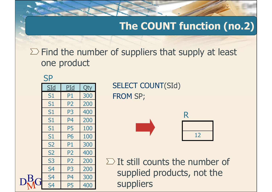## The COUNT function (no.2)

 $\Sigma$  Find the number of suppliers that supply at least one product The COUNT fu<br>
nd the number of suppliers that sup<br>
ne product<br>
P<br>
Sid Pid Qty<br>
S1 P1 300<br>
FROM SP;<br>
S1 P2 200<br>
S1 P3 400 The COUNT fu<br>
nd the number of suppliers that sup<br>
ne product<br>
P<br>
Sid Pid Qty<br>
St P1 300<br>
FROM SP;<br>
S1 P2 200<br>
S1 P3 400<br>
S1 P4 200 md the number of suppliers that sup<br>
ne product<br>
P<br>
SI PI 300<br>
S1 P2 200<br>
S1 P3 400<br>
S1 P4 200<br>
S1 P5 100

|           | one product    |                |     | $\Sigma$ Find the number of suppliers that sup |
|-----------|----------------|----------------|-----|------------------------------------------------|
|           | <b>SP</b>      |                |     |                                                |
|           | <u>SId</u>     | <u>PId</u>     | Qty | <b>SELECT COUNT(SId)</b>                       |
|           | S1             | P1             | 300 | <b>FROM SP;</b>                                |
|           | S1             | P <sub>2</sub> | 200 |                                                |
|           | S1             | P <sub>3</sub> | 400 | R                                              |
|           | S <sub>1</sub> | P <sub>4</sub> | 200 |                                                |
|           | S1             | <b>P5</b>      | 100 |                                                |
|           | S <sub>1</sub> | <b>P6</b>      | 100 |                                                |
|           | <b>S2</b>      | P <sub>1</sub> | 300 |                                                |
|           | <b>S2</b>      | P <sub>2</sub> | 400 |                                                |
|           | <b>S3</b>      | P <sub>2</sub> | 200 | $\sum$ It still counts the                     |
|           | S <sub>4</sub> | P3             | 200 | supplied products                              |
| $\n  R\n$ | <b>S4</b>      | P4             | 300 |                                                |
|           | S <sub>4</sub> | <b>P5</b>      | 400 | suppliers                                      |
|           |                |                |     |                                                |

SId PId Qty SELECT COUNT(SId) FROM SP;



 $\Sigma$  It still counts the number of supplied products, not the suppliers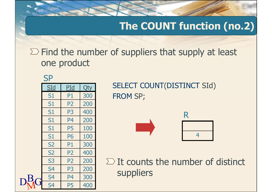### The COUNT function (no.2)

 $\Sigma$  Find the number of suppliers that supply at least one product The COUNT fu<br>
nd the number of suppliers that sup<br>
ne product<br>
P<br>
Sid Pid Qty<br>
S1 P1 300<br>
FROM SP;<br>
S1 P2 200<br>
S1 P3 400 The COUNT fu<br>
nd the number of suppliers that sup<br>
ne product<br>
P<br>
Sid Pid Qty<br>
St P1 300<br>
FROM SP;<br>
S1 P2 200<br>
S1 P3 400<br>
S1 P4 200 md the number of suppliers that sup<br>
ne product<br>
P<br>
SI PI 300<br>
S1 P2 200<br>
S1 P3 400<br>
S1 P4 200<br>
S1 P5 100

|       | one product    |                |     | $\Sigma$ Find the number of suppliers that sup |
|-------|----------------|----------------|-----|------------------------------------------------|
|       | <b>SP</b>      |                |     |                                                |
|       | <u>SId</u>     | <u>PId</u>     | Qty | <b>SELECT COUNT(DISTIN</b>                     |
|       | S1             | P <sub>1</sub> | 300 | <b>FROM SP;</b>                                |
|       | S1             | P <sub>2</sub> | 200 |                                                |
|       | S1             | P <sub>3</sub> | 400 | R                                              |
|       | S1             | P <sub>4</sub> | 200 |                                                |
|       | S1             | <b>P5</b>      | 100 |                                                |
|       | S1             | <b>P6</b>      | 100 |                                                |
|       | <b>S2</b>      | P <sub>1</sub> | 300 |                                                |
|       | <b>S2</b>      | <b>P2</b>      | 400 |                                                |
|       | <b>S3</b>      | P <sub>2</sub> | 200 | $\Sigma$ It counts the num                     |
|       | S <sub>4</sub> | P <sub>3</sub> | 200 | suppliers                                      |
| $D^B$ | S <sub>4</sub> | P <sub>4</sub> | 300 |                                                |
|       | <b>S4</b>      | <b>P5</b>      | 400 |                                                |
|       |                |                |     |                                                |

SId PId Qty SELECT COUNT(DISTINCT SId) FROM SP;





 $\Sigma$  It counts the number of distinct suppliers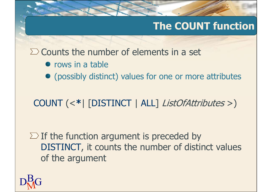## The COUNT function

 $\Sigma$  Counts the number of elements in a set

- $\bullet$  rows in a table
- (possibly distinct) values for one or more attributes

COUNT (<\*| [DISTINCT | ALL] ListOfAttributes >)

 $\Sigma$  If the function argument is preceded by DISTINCT, it counts the number of distinct values of the argument

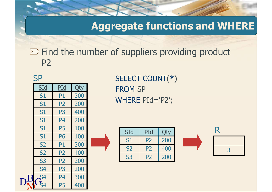#### Aggregate functions and WHERE

# $\Sigma$  Find the number of suppliers providing product P2 Aggregate function<br>
Find the number of suppliers provided<br>
P2<br>
SELECT COUNT(\*)<br>
S1 P1 300<br>
S1 P2 200<br>
S1 P2 200<br>
S1 P3 400 Aggregate function<br>
Find the number of suppliers provided<br>
P2<br>
SELECT COUNT(\*)<br>
S1 P1 300<br>
S1 P2 200<br>
S1 P3 400<br>
S1 P4 200

 $D_{N}^{B}G_{4}^{54}$   $P_{5}^{4}$   $P_{60}^{300}$ **SP** Find the number of suppliers provided<br>P2<br>S1 P1 300<br>S1 P2 200<br>S1 P3 400<br>S1 P4 200<br>S1 P5 100<br>S1 P5 100 Find the number of suppliers provided<br>
P2<br>
S1 P1 300<br>
S1 P2 200<br>
S1 P3 400<br>
S1 P4 200<br>
S1 P5 100<br>
S1 P6 100<br>
S1 P6 100<br>
S1 P6 100<br>
S1 P6 100<br>
S1 P2 200<br>
S1 P6 100 Find the number of suppliers provider<br>
P2<br>
S1 P1 300<br>
S1 P1 300<br>
S1 P2 200<br>
S1 P4 200<br>
S1 P5 100<br>
S1 P6 100<br>
S2 P1 300<br>
S2 P1 300<br>
S2 P2 200<br>
S2 P3 400<br>
S2 P1 300<br>
S2 P3 400<br>
S2 P3 400<br>
S2 P4 300<br>
S2 P4 300<br>
S2 P4 300<br>
S2 Prind the number of suppliers provider<br>
P2<br>
S1 P1 300<br>
S1 P1 300<br>
S1 P2 200<br>
S1 P4 200<br>
S1 P5 100<br>
S1 P6 100<br>
S2 P1 300<br>
S2 P2 400<br>
S2 P2 400<br>
S2 P2 300<br>
S2 P2 300<br>
S2 P2 300<br>
S2 P2 300<br>
S2 P2 300<br>
S2 P2 300<br>
S2 P2 400<br>
S2 P2<br>
P2<br>
S1 P1 300<br>
S1 P2 200<br>
S1 P4 200<br>
S1 P5 100<br>
S2 P1 300<br>
S2 P2 400<br>
S3 P2 200<br>
P2 200<br>
S3 P2 200<br>
P2 200<br>
S3 P2 200<br>
P2 200<br>
S3 P2 200<br>
P2 200<br>
S3 P2 200<br>
P2 200<br>
S3 P2 200 SELECT COUNT(\*)<br>
S1 P1 300<br>
S1 P2 200<br>
S1 P3 400<br>
S1 P5 100<br>
S1 P6 100<br>
S2 P1 300<br>
S2 P2 400<br>
S3 P2 200<br>
S4 P3 200<br>
S4 P3 200<br>
S4 P3 200<br>
S4 P3 200<br>
S4 P3 200<br>
S4 P3 200<br>
S4 P3 200<br>
S4 P3 200<br>
S4 P3 200<br>
S4 P3 200<br>
S4 P3 2 SID PID Qty<br>
SID PID 300<br>
S1 P1 300<br>
S1 P2 200<br>
S1 P4 200<br>
S1 P5 100<br>
S1 P6 100<br>
S2 P1 300<br>
S2 P2 400<br>
S2 P2 400<br>
S3 P2 200<br>
S4 P3 200<br>
S4 P4 300<br>
S4 P4 300<br>
S4 P4 300<br>
S4 P4 300<br>
S4 P4 300<br>
S4 P4 300<br>
S4 P4 300<br>
S4 P4 300 <u>S1 P1 300</u><br>
S1 P2 200<br>
S1 P3 400<br>
S1 P5 100<br>
S1 P5 100<br>
S1 P6 100<br>
S2 P1 300<br>
S2 P2 400<br>
S3 P2 200<br>
S4 P3 200<br>
S4 P5 400<br>
S4 P5 400<br>
S4 P5 400<br>
S4 P5 400<br>
S4 P5 400<br>
S4 P5 400<br>
S4 P5 400<br>
S4 P5 400 S1 P1 300<br>
S1 P2 200<br>
S1 P3 400<br>
S1 P4 200<br>
S1 P5 100<br>
S1 P6 100<br>
S1 P6 100<br>
S2 P1 300<br>
S2 P2 400<br>
S2 P2 400<br>
S3 P2 200<br>
S4 P4 300<br>
S4 P4 300<br>
S4 P5 400<br>
S4 P5 400<br>
S4 P5 400<br>
S4 P5 400 S1 P2 200<br>
S1 P3 400<br>
S1 P4 200<br>
S1 P5 100<br>
S1 P6 100<br>
S1 P6 100<br>
S2 P1 300<br>
S2 P2 400<br>
S2 P2 400<br>
S3 P2 200<br>
S4 P3 200<br>
S4 P4 300<br>
S4 P4 300<br>
S4 P4 300<br>
S4 P5 400<br>
S4 P5 400<br>
S4 P5 400<br>
S4 P5 400

SELECT COUNT(\*) <u>SId PId</u> Qty **FROM SP** WHERE PId='P2';



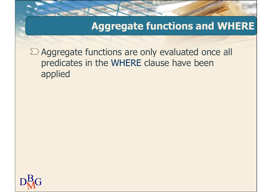#### Aggregate functions and WHERE

 $\sum$  Aggregate functions are only evaluated once all predicates in the WHERE clause have been applied

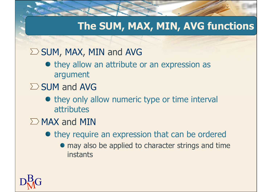#### The SUM, MAX, MIN, AVG functions

#### $\Sigma$  SUM, MAX, MIN and AVG

- $\bullet$  they allow an attribute or an expression as argument
- $\Sigma$  SUM and AVG
	- they only allow numeric type or time interval attributes
- $\sum$  MAX and MIN
	- $\bullet$  they require an expression that can be ordered
		- $\bullet$  may also be applied to character strings and time instants

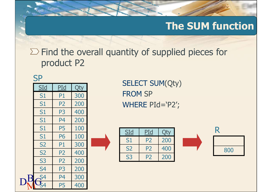#### The SUM function

# $\Sigma$  Find the overall quantity of supplied pieces for product P2 The<br>
Find the overall quantity of supplie<br>
product P2<br>
S<sub>1 P1 300</sub><br>
SELECT SUM(Qty)<br>
FROM SP<br>
S1 P2 200<br>
WHERE PId=`P2';<br>
S1 P3 400 The<br>
Find the overall quantity of supplie<br>
product P2<br>
SId PId Qty<br>
S1 P1 300<br>
FROM SP<br>
S1 P2 200<br>
WHERE PId=`P2';<br>
S1 P3 400<br>
S1 P4 200 Find the overall quantity of supplie<br>
product P2<br>
SId PId Qty<br>
S1 P1 300<br>
S1 P2 200<br>
S1 P3 400<br>
S1 P4 200<br>
S1 P5 100<br>
S1 P5 100

| $\sum$ Find the overall quantity of supplie<br>product P2 |                           |                |     |                    |                |                |     |  |  |  |  |  |  |
|-----------------------------------------------------------|---------------------------|----------------|-----|--------------------|----------------|----------------|-----|--|--|--|--|--|--|
| <b>SP</b><br><b>SELECT SUM(Qty)</b>                       |                           |                |     |                    |                |                |     |  |  |  |  |  |  |
|                                                           | <u>SId</u>                | PId            | Qty |                    |                |                |     |  |  |  |  |  |  |
|                                                           | S1                        | P1             | 300 |                    | <b>FROM SP</b> |                |     |  |  |  |  |  |  |
|                                                           | S1                        | P <sub>2</sub> | 200 | WHERE $PId = P2$ ; |                |                |     |  |  |  |  |  |  |
|                                                           | <b>S1</b>                 | P <sub>3</sub> | 400 |                    |                |                |     |  |  |  |  |  |  |
|                                                           | S1                        | P <sub>4</sub> | 200 |                    |                |                |     |  |  |  |  |  |  |
|                                                           | S1                        | <b>P5</b>      | 100 |                    |                |                |     |  |  |  |  |  |  |
|                                                           | S1                        | <b>P6</b>      | 100 |                    | SId            | PId            | Qty |  |  |  |  |  |  |
|                                                           | <b>S2</b>                 | P1             | 300 |                    | S1             | <b>P2</b>      | 200 |  |  |  |  |  |  |
|                                                           | <b>S2</b>                 | <b>P2</b>      | 400 |                    | <b>S2</b>      | P <sub>2</sub> | 400 |  |  |  |  |  |  |
|                                                           | <b>S3</b>                 | P <sub>2</sub> | 200 |                    | <b>S3</b>      | P <sub>2</sub> | 200 |  |  |  |  |  |  |
|                                                           | S <sub>4</sub>            | P <sub>3</sub> | 200 |                    |                |                |     |  |  |  |  |  |  |
| $\mathbf P$                                               | $\overline{\mathsf{S}}$ 4 | P <sub>4</sub> | 300 |                    |                |                |     |  |  |  |  |  |  |
|                                                           |                           | <b>P5</b>      | 400 |                    |                |                |     |  |  |  |  |  |  |
|                                                           |                           |                |     |                    |                |                |     |  |  |  |  |  |  |
|                                                           | $\mathbf{G}_{4}$          |                |     |                    |                |                |     |  |  |  |  |  |  |

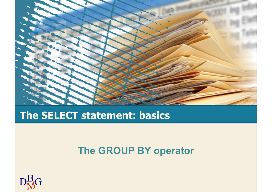

#### The SELECT statement: basics

#### The GROUP BY operator

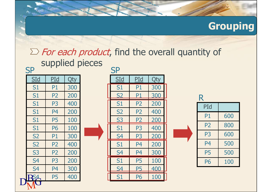#### Grouping

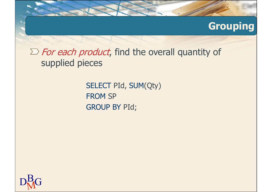#### Grouping

 $\sum$  For each product, find the overall quantity of supplied pieces

> SELECT PId, SUM(Qty) FROM SP GROUP BY PId;

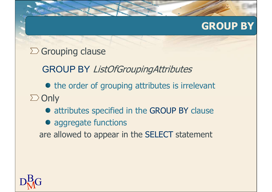#### GROUP BY

#### $\Sigma$  Grouping clause

GROUP BY ListOfGroupingAttributes

• the order of grouping attributes is irrelevant  $\sum$  Only

- attributes specified in the GROUP BY clause
- aggregate functions

are allowed to appear in the SELECT statement

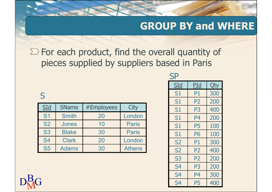# $\Sigma$  For each product, find the overall quantity of pieces supplied by suppliers based in Paris GROUP BY and WH<br>
For each product, find the overall quantity of<br>
pieces supplied by suppliers based in Paris<br>
SP<br>
SId PId Qty<br>
SId SName #Employees City<br>
SId SName #Employees City<br>
S1 P1 300<br>
S1 P2 200<br>
S1 P2 200<br>
S1 P3 40

#### S<sub>core</sub> Second Second Second Second Second Second Second Second Second Second Second Second Second Second Second Second Second Second Second Second Second Second Second Second Second Second Second Second Second Second Seco

| For each product, find the overall quantity of<br>pieces supplied by suppliers based in Paris |                                                                    |            |               |  |                |                |     |  |  |  |  |  |  |
|-----------------------------------------------------------------------------------------------|--------------------------------------------------------------------|------------|---------------|--|----------------|----------------|-----|--|--|--|--|--|--|
| <b>SP</b>                                                                                     |                                                                    |            |               |  |                |                |     |  |  |  |  |  |  |
|                                                                                               | SId<br>PId<br>Qty                                                  |            |               |  |                |                |     |  |  |  |  |  |  |
| S                                                                                             |                                                                    |            |               |  | S <sub>1</sub> | P <sub>1</sub> | 300 |  |  |  |  |  |  |
|                                                                                               |                                                                    |            |               |  | S <sub>1</sub> | P <sub>2</sub> | 200 |  |  |  |  |  |  |
| SLd                                                                                           | <b>SName</b>                                                       | #Employees | <b>City</b>   |  | S <sub>1</sub> | P <sub>3</sub> | 400 |  |  |  |  |  |  |
| <b>S1</b>                                                                                     | <b>Smith</b>                                                       | 20         | London        |  | S <sub>1</sub> | <b>P4</b>      | 200 |  |  |  |  |  |  |
| <b>S2</b>                                                                                     | Jones                                                              | 10         | <b>Paris</b>  |  | S <sub>1</sub> | <b>P5</b>      | 100 |  |  |  |  |  |  |
| <b>S3</b>                                                                                     | <b>Blake</b>                                                       | 30         | <b>Paris</b>  |  | S <sub>1</sub> | <b>P6</b>      | 100 |  |  |  |  |  |  |
| <b>S4</b>                                                                                     | <b>Clark</b><br>20<br>London<br>300<br><b>S2</b><br>P <sub>1</sub> |            |               |  |                |                |     |  |  |  |  |  |  |
| <b>S5</b>                                                                                     | <b>Adams</b>                                                       | 30         | <b>Athens</b> |  | <b>S2</b>      | P <sub>2</sub> | 400 |  |  |  |  |  |  |

|                                                |              |                                             |               |  |                |                |     | <b>GROUP BY and WHERE</b> |  |  |
|------------------------------------------------|--------------|---------------------------------------------|---------------|--|----------------|----------------|-----|---------------------------|--|--|
|                                                |              |                                             |               |  |                |                |     |                           |  |  |
| For each product, find the overall quantity of |              |                                             |               |  |                |                |     |                           |  |  |
|                                                |              | pieces supplied by suppliers based in Paris |               |  |                |                |     |                           |  |  |
|                                                |              |                                             |               |  | <b>SP</b>      |                |     |                           |  |  |
|                                                |              |                                             |               |  | <u>SId</u>     | PId            | Qty |                           |  |  |
|                                                |              |                                             |               |  | S1             | <b>P1</b>      | 300 |                           |  |  |
|                                                |              |                                             |               |  | <b>S1</b>      | P <sub>2</sub> | 200 |                           |  |  |
| SLd                                            | <b>SName</b> | #Employees                                  | City          |  | S1             | P <sub>3</sub> | 400 |                           |  |  |
| S <sub>1</sub>                                 | <b>Smith</b> | 20                                          | London        |  | <b>S1</b>      | P <sub>4</sub> | 200 |                           |  |  |
| S <sub>2</sub>                                 | <b>Jones</b> | 10                                          | <b>Paris</b>  |  | <b>S1</b>      | <b>P5</b>      | 100 |                           |  |  |
| S <sub>3</sub>                                 | <b>Blake</b> | 30                                          | <b>Paris</b>  |  | <b>S1</b>      | <b>P6</b>      | 100 |                           |  |  |
| S4                                             | <b>Clark</b> | 20                                          | London        |  | <b>S2</b>      | <b>P1</b>      | 300 |                           |  |  |
| S <sub>5</sub>                                 | <b>Adams</b> | 30                                          | <b>Athens</b> |  | <b>S2</b>      | P <sub>2</sub> | 400 |                           |  |  |
|                                                |              |                                             |               |  | S <sub>3</sub> | P <sub>2</sub> | 200 |                           |  |  |
|                                                |              |                                             |               |  | S4             | P <sub>3</sub> | 200 |                           |  |  |
|                                                |              |                                             |               |  | S4             | P <sub>4</sub> | 300 |                           |  |  |
|                                                |              |                                             |               |  | S <sub>4</sub> | <b>P5</b>      | 400 |                           |  |  |
|                                                |              |                                             |               |  |                |                |     |                           |  |  |

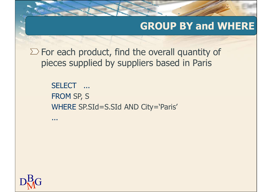$\Sigma$  For each product, find the overall quantity of pieces supplied by suppliers based in Paris

> SELECT ... FROM SP, S WHERE SP.SId=S.SId AND City='Paris'

...

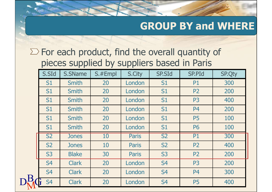|                        |              |         |              |                        |                                                       | <b>GROUP BY and WHERE</b> |
|------------------------|--------------|---------|--------------|------------------------|-------------------------------------------------------|---------------------------|
|                        |              |         |              |                        |                                                       |                           |
|                        |              |         |              |                        | $\sum$ For each product, find the overall quantity of |                           |
|                        |              |         |              |                        | pieces supplied by suppliers based in Paris           |                           |
| S.SId                  | S.SName      | S.#Empl | S.City       | <b>SP.SId</b>          | <b>SP.PId</b>                                         | <b>SP.Qty</b>             |
| S <sub>1</sub>         | <b>Smith</b> | 20      | London       | S <sub>1</sub>         | <b>P1</b>                                             | 300                       |
| S <sub>1</sub>         | <b>Smith</b> | 20      | London       | S <sub>1</sub>         | <b>P2</b>                                             | 200                       |
| S <sub>1</sub>         | <b>Smith</b> | 20      | London       | S <sub>1</sub>         | P <sub>3</sub>                                        | 400                       |
| S <sub>1</sub>         | <b>Smith</b> | 20      | London       | S <sub>1</sub>         | P <sub>4</sub>                                        | 200                       |
| S <sub>1</sub>         | <b>Smith</b> | 20      | London       | S <sub>1</sub>         | <b>P5</b>                                             | 100                       |
| S <sub>1</sub>         | <b>Smith</b> | 20      | London       | S <sub>1</sub>         | <b>P6</b>                                             | <b>100</b>                |
| $\overline{\text{S2}}$ | Jones        | 10      | Paris        | $\overline{\text{S2}}$ | <b>P1</b>                                             | 300                       |
| <b>S2</b>              | <b>Jones</b> | 10      | <b>Paris</b> | <b>S2</b>              | P <sub>2</sub>                                        | 400                       |
| <b>S3</b>              | <b>Blake</b> | 30      | <b>Paris</b> | <b>S3</b>              | P <sub>2</sub>                                        | 200                       |
| S <sub>4</sub>         | <b>Clark</b> | 20      | London       | S <sub>4</sub>         | P <sub>3</sub>                                        | 200                       |
| S <sub>4</sub>         | <b>Clark</b> | 20      | London       | S <sub>4</sub>         | P <sub>4</sub>                                        | 300                       |
| S <sub>4</sub>         | <b>Clark</b> | 20      | London       | <b>S4</b>              | P <sub>5</sub>                                        | 400                       |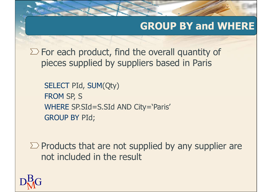$\Sigma$  For each product, find the overall quantity of pieces supplied by suppliers based in Paris

SELECT PId, SUM(Qty) FROM SP, S WHERE SP.SId=S.SId AND City='Paris' GROUP BY PId;

 $\sum$  Products that are not supplied by any supplier are not included in the result

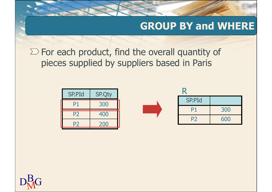$\Sigma$  For each product, find the overall quantity of pieces supplied by suppliers based in Paris

|                        | <b>GROUP BY and WHERE</b>                  |                                         |  |               |     |  |  |  |  |  |  |
|------------------------|--------------------------------------------|-----------------------------------------|--|---------------|-----|--|--|--|--|--|--|
|                        | each product, find the overall quantity of |                                         |  |               |     |  |  |  |  |  |  |
|                        |                                            | es supplied by suppliers based in Paris |  |               |     |  |  |  |  |  |  |
|                        |                                            |                                         |  |               |     |  |  |  |  |  |  |
|                        |                                            |                                         |  | R             |     |  |  |  |  |  |  |
|                        |                                            |                                         |  |               |     |  |  |  |  |  |  |
| SP.PId                 | <b>SP.Qty</b>                              |                                         |  | <b>SP.PId</b> |     |  |  |  |  |  |  |
| <b>P1</b><br><b>P2</b> | 300<br>400                                 |                                         |  | <b>P1</b>     | 300 |  |  |  |  |  |  |

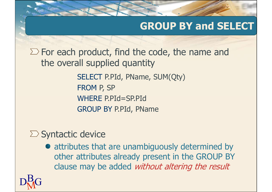#### GROUP BY and SELECT

 $\sum$  For each product, find the code, the name and the overall supplied quantity

> SELECT P.PId, PName, SUM(Qty) FROM P, SP WHERE P.PId=SP.PId GROUP BY P.PId, PName

#### $\Sigma$  Syntactic device

attributes that are unambiguously determined by other attributes already present in the GROUP BY clause may be added without altering the result

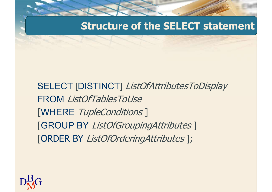#### Structure of the SELECT statement

SELECT [DISTINCT] ListOfAttributesToDisplay FROM ListOfTablesToUse [WHERE TupleConditions ] [GROUP BY ListOfGroupingAttributes ] [ORDER BY ListOfOrderingAttributes ];

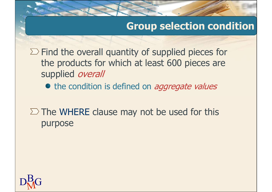#### Group selection condition

 $\Sigma$  Find the overall quantity of supplied pieces for the products for which at least 600 pieces are supplied *overall* 

• the condition is defined on *aggregate values* 

 $\Sigma$  The WHERE clause may not be used for this purpose

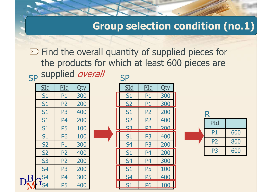#### Group selection condition (no.1)

**SP SP SP SP**  $\Sigma$  Find the overall quantity of supplied pieces for the products for which at least 600 pieces are supplied overall Sp supplied over Group selection contract the overall quantity of supplied<br>the products for which at least 600<br>supplied *overall*<br>S1 P1 300<br>S1 P1 300<br>S1 P2 200<br>S1 P3 400<br>S1 P2 200<br>S1 P3 400<br>S1 P2 200 Group selection contraring the products for which at least 600<br>
supplied *overall*<br>
Sid Pid Qty<br>
Sid Pid Qty<br>
S1 P1 300<br>
S1 P2 200<br>
S1 P3 400<br>
S1 P4 200<br>
S1 P2 200<br>
S1 P2 200<br>
S1 P2 200<br>
S1 P2 200<br>
S1 P2 200<br>
S1 P2 200<br>
S1 Find the overall quantity of supplied<br>the products for which at least 600<br>supplied *overall*<br>S1 P1 300<br>S1 P2 200<br>S1 P2 200<br>S1 P3 400<br>S1 P3 400<br>S1 P4 200<br>S1 P4 200<br>S1 P5 100<br>S3 P2 200<br>S3 P2 200 Find the overall quantity of supplied<br>
the products for which at least 600<br>
supplied *overall*<br>
S1 P1 300<br>
S1 P1 300<br>
S1 P2 200<br>
S1 P3 400<br>
S1 P4 200<br>
S1 P4 200<br>
S1 P5 100<br>
S1 P5 100<br>
S1 P5 100<br>
S1 P3 400<br>
S1 P5 100<br>
S1 P3 Find the overall quantity of supplied<br>
the products for which at least 600<br>
supplied *overall*<br>
S1 P1 300<br>
S1 P2 200<br>
S1 P3 400<br>
S1 P4 200<br>
S1 P5 100<br>
S1 P5 100<br>
S1 P5 100<br>
S1 P5 100<br>
S2 P2 400<br>
S1 P5 100<br>
S2 P2 400<br>
S1 P5 **selection condition (no.1)**<br>tity of supplied pieces for<br>th at least 600 pieces are<br>P<br>S1 P1 300<br>S1 P1 300<br>S2 P1 300<br>S1 P2 200 **selection condition (no.1)**<br>tity of supplied pieces for<br>th at least 600 pieces are<br>P<br><u>SIdel PIdel Qty</u><br>S1 P1 300<br>S2 P1 300<br>S2 P1 300<br>S2 P1 300<br>S2 P2 400 tity of supplied pieces for<br>th at least 600 pieces are<br>P<br> $\frac{51d}{51}$  P1 300<br> $\frac{52}{52}$  P1 300<br> $\frac{52}{53}$  P2 200<br> $\frac{72}{53}$  P2 200 tity of supplied pieces for<br>
th at least 600 pieces are<br>
P<br>
S1 P1 300<br>
S2 P1 300<br>
S2 P2 400<br>
S2 P2 400<br>
S3 P2 200<br>
S1 P3 400<br>
P1 600<br>
S1 P3 400

| $SId$          | <u>PId</u>     | Qty | $\underline{\text{SId}}$ |
|----------------|----------------|-----|--------------------------|
| S1             | <b>P1</b>      | 300 | S1                       |
| S1             | P <sub>2</sub> | 200 | <u>S2</u>                |
| S1             | P <sub>3</sub> | 400 | S1                       |
| S1             | P <sub>4</sub> | 200 | <b>S2</b>                |
| S1             | <b>P5</b>      | 100 | 53                       |
| S1             | <b>P6</b>      | 100 | S1                       |
| <b>S2</b>      | <b>P1</b>      | 300 | <u>S4</u>                |
| <b>S2</b>      | P <sub>2</sub> | 400 | S1                       |
| S <sub>3</sub> | P <sub>2</sub> | 200 | S <sub>4</sub>           |
| S <sub>4</sub> | P <sub>3</sub> | 200 | S1                       |
| S <sub>4</sub> | P <sub>4</sub> | 300 | S4                       |
| S <sub>4</sub> | <b>P5</b>      | 400 | S1                       |

| Find the overall quantity of supplied pieces for<br>the products for which at least 600 pieces are<br>supplied overall<br><b>SP</b> |                |     |  |                |                |     |  |  |                |     |  |  |  |
|-------------------------------------------------------------------------------------------------------------------------------------|----------------|-----|--|----------------|----------------|-----|--|--|----------------|-----|--|--|--|
| <u>SId</u>                                                                                                                          | <u>PId</u>     | Qty |  | <u>SId</u>     | PId            | Qty |  |  |                |     |  |  |  |
| S1                                                                                                                                  | P1             | 300 |  | S <sub>1</sub> | P <sub>1</sub> | 300 |  |  |                |     |  |  |  |
| S1                                                                                                                                  | P <sub>2</sub> | 200 |  | <b>S2</b>      | P <sub>1</sub> | 300 |  |  |                |     |  |  |  |
| S1                                                                                                                                  | P <sub>3</sub> | 400 |  | <b>S1</b>      | <b>P2</b>      | 200 |  |  |                |     |  |  |  |
| $\overline{\mathsf{S1}}$                                                                                                            | P <sub>4</sub> | 200 |  | <b>S2</b>      | P <sub>2</sub> | 400 |  |  | PId            |     |  |  |  |
| $\overline{\mathsf{S1}}$                                                                                                            | <b>P5</b>      | 100 |  | S3             | P <sub>2</sub> | 200 |  |  |                |     |  |  |  |
| S1                                                                                                                                  | <b>P6</b>      | 100 |  | S1             | P <sub>3</sub> | 400 |  |  | <b>P1</b>      | 600 |  |  |  |
| S <sub>2</sub>                                                                                                                      | P <sub>1</sub> | 300 |  | S <sub>4</sub> | P <sub>3</sub> | 200 |  |  | P <sub>2</sub> | 800 |  |  |  |
| $\overline{\text{S2}}$                                                                                                              | P <sub>2</sub> | 400 |  | S <sub>1</sub> | P <sub>4</sub> | 200 |  |  | P <sub>3</sub> | 600 |  |  |  |
| $\overline{\text{S3}}$                                                                                                              | P <sub>2</sub> | 200 |  | <b>S4</b>      | P <sub>4</sub> | 300 |  |  |                |     |  |  |  |
| $\overline{\mathsf{S}4}$                                                                                                            | P <sub>3</sub> | 200 |  | S <sub>1</sub> | <b>P5</b>      | 100 |  |  |                |     |  |  |  |
| S4                                                                                                                                  | P <sub>4</sub> | 300 |  | S <sub>4</sub> | <b>P5</b>      | 400 |  |  |                |     |  |  |  |
| S4                                                                                                                                  | <b>P5</b>      | 400 |  |                | <u>P6</u>      | 100 |  |  |                |     |  |  |  |
|                                                                                                                                     |                |     |  |                |                |     |  |  |                |     |  |  |  |
|                                                                                                                                     |                |     |  |                |                |     |  |  |                |     |  |  |  |

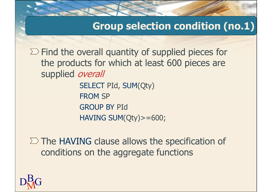#### Group selection condition (no.1)

 $\Sigma$  Find the overall quantity of supplied pieces for the products for which at least 600 pieces are supplied *overall* 

> SELECT PId, SUM(Qty) FROM SP GROUP BY PId HAVING SUM(Qty)>=600;

 $\Sigma$  The HAVING clause allows the specification of conditions on the aggregate functions

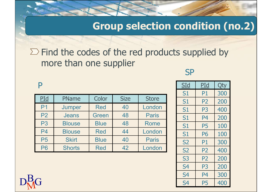#### Group selection condition (no.2)

# $\sum$  Find the codes of the red products supplied by more than one supplier Group selection condition (no.2)<br>
Find the codes of the red products supplied by<br>
more than one supplier<br>
PID PName Color Size Store<br>
PID Jumper Red 40 London<br>
P2 Jeans Green 48 Paris<br>
Paris 1 P4 200

#### P<sub>art</sub> and the part of the set of the set of the set of the set of the set of the set of the set of the set of the set of the set of the set of the set of the set of the set of the set of the set of the set of the set of t

|                                                                                                        |               |             |             | Group selection condition (no.2) |  |                |                |     |  |  |  |
|--------------------------------------------------------------------------------------------------------|---------------|-------------|-------------|----------------------------------|--|----------------|----------------|-----|--|--|--|
| $\triangleright$ Find the codes of the red products supplied by<br>more than one supplier<br><b>SP</b> |               |             |             |                                  |  |                |                |     |  |  |  |
| P                                                                                                      |               |             |             |                                  |  | <b>SId</b>     | PId            | Qty |  |  |  |
| PId                                                                                                    | PName         | Color       | <b>Size</b> | <b>Store</b>                     |  | <b>S1</b>      | P <sub>1</sub> | 300 |  |  |  |
|                                                                                                        |               |             |             |                                  |  | S1             | P <sub>2</sub> | 200 |  |  |  |
| P <sub>1</sub>                                                                                         | Jumper        | <b>Red</b>  | 40          | London                           |  | S1             | P <sub>3</sub> | 400 |  |  |  |
| <b>P2</b>                                                                                              | <b>Jeans</b>  | Green       | 48          | <b>Paris</b>                     |  | S <sub>1</sub> | P <sub>4</sub> | 200 |  |  |  |
| P <sub>3</sub>                                                                                         | <b>Blouse</b> | <b>Blue</b> | 48          | Rome                             |  | <b>S1</b>      | <b>P5</b>      | 100 |  |  |  |
| <b>P4</b>                                                                                              | <b>Blouse</b> | <b>Red</b>  | 44          | London                           |  | S1             | <b>P6</b>      | 100 |  |  |  |
| <b>P5</b>                                                                                              | <b>Skirt</b>  | <b>Blue</b> | 40          | <b>Paris</b>                     |  | <b>S2</b>      | P <sub>1</sub> | 300 |  |  |  |
| <b>P6</b>                                                                                              | <b>Shorts</b> | <b>Red</b>  | 42          | London                           |  | <b>S2</b>      | <b>P2</b>      | 400 |  |  |  |
|                                                                                                        |               |             |             |                                  |  | <b>S3</b>      | P <sub>2</sub> | 200 |  |  |  |
|                                                                                                        |               |             |             |                                  |  | <b>S4</b>      | P <sub>3</sub> | 200 |  |  |  |

|                |                |     | <b>condition (no.2)</b> |
|----------------|----------------|-----|-------------------------|
| is supplied by |                |     |                         |
| <b>SP</b>      |                |     |                         |
| <b>SId</b>     | <b>PId</b>     | Qty |                         |
| S1             | P1             | 300 |                         |
| S1             | P <sub>2</sub> | 200 |                         |
| S1             | P <sub>3</sub> | 400 |                         |
| S1             | P <sub>4</sub> | 200 |                         |
| S1             | <b>P5</b>      | 100 |                         |
| S1             | <b>P6</b>      | 100 |                         |
| <b>S2</b>      | P1             | 300 |                         |
| <b>S2</b>      | P <sub>2</sub> | 400 |                         |
| S <sub>3</sub> | P <sub>2</sub> | 200 |                         |
| S <sub>4</sub> | P <sub>3</sub> | 200 |                         |
| S <sub>4</sub> | P4             | 300 |                         |
| S <sub>4</sub> | <b>P5</b>      | 400 |                         |
|                |                |     |                         |

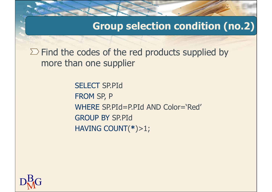Group selection condition (no.2)

 $\Sigma$  Find the codes of the red products supplied by more than one supplier

> SELECT SP.PId FROM SP, P WHERE SP.PId=P.PId AND Color='Red' GROUP BY SP.PId HAVING COUNT(\*)>1;

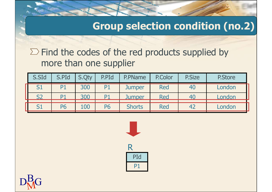#### Group selection condition (no.2)

|           |                |       |                        |                                                       |            |               | <b>Group selection condition (no.2)</b> |
|-----------|----------------|-------|------------------------|-------------------------------------------------------|------------|---------------|-----------------------------------------|
|           |                |       |                        |                                                       |            |               |                                         |
|           |                |       | more than one supplier | $\sum$ Find the codes of the red products supplied by |            |               |                                         |
| S.SId     | S.PId          | S.Qty | P.PId                  | P.PName                                               | P.Color    | <b>P.Size</b> | <b>P.Store</b>                          |
| S1        | P <sub>1</sub> | 300   | P <sub>1</sub>         | <b>Jumper</b>                                         | <b>Red</b> | 40            | London                                  |
| <b>S2</b> | P <sub>1</sub> | 300   | P <sub>1</sub>         | <b>Jumper</b>                                         | <b>Red</b> | 40            | London                                  |



P1 and the second state of the second state  $\sim$